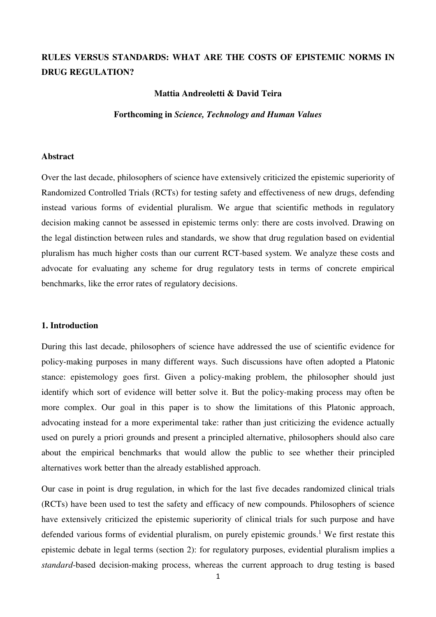# **RULES VERSUS STANDARDS: WHAT ARE THE COSTS OF EPISTEMIC NORMS IN DRUG REGULATION?**

### **Mattia Andreoletti & David Teira**

#### **Forthcoming in** *Science, Technology and Human Values*

## **Abstract**

Over the last decade, philosophers of science have extensively criticized the epistemic superiority of Randomized Controlled Trials (RCTs) for testing safety and effectiveness of new drugs, defending instead various forms of evidential pluralism. We argue that scientific methods in regulatory decision making cannot be assessed in epistemic terms only: there are costs involved. Drawing on the legal distinction between rules and standards, we show that drug regulation based on evidential pluralism has much higher costs than our current RCT-based system. We analyze these costs and advocate for evaluating any scheme for drug regulatory tests in terms of concrete empirical benchmarks, like the error rates of regulatory decisions.

## **1. Introduction**

During this last decade, philosophers of science have addressed the use of scientific evidence for policy-making purposes in many different ways. Such discussions have often adopted a Platonic stance: epistemology goes first. Given a policy-making problem, the philosopher should just identify which sort of evidence will better solve it. But the policy-making process may often be more complex. Our goal in this paper is to show the limitations of this Platonic approach, advocating instead for a more experimental take: rather than just criticizing the evidence actually used on purely a priori grounds and present a principled alternative, philosophers should also care about the empirical benchmarks that would allow the public to see whether their principled alternatives work better than the already established approach.

Our case in point is drug regulation, in which for the last five decades randomized clinical trials (RCTs) have been used to test the safety and efficacy of new compounds. Philosophers of science have extensively criticized the epistemic superiority of clinical trials for such purpose and have defended various forms of evidential pluralism, on purely epistemic grounds.<sup>1</sup> We first restate this epistemic debate in legal terms (section 2): for regulatory purposes, evidential pluralism implies a *standard*-based decision-making process, whereas the current approach to drug testing is based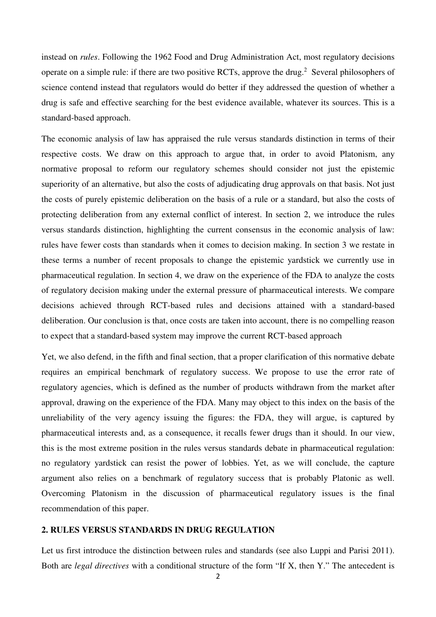instead on *rules*. Following the 1962 Food and Drug Administration Act, most regulatory decisions operate on a simple rule: if there are two positive RCTs, approve the drug.<sup>2</sup> Several philosophers of science contend instead that regulators would do better if they addressed the question of whether a drug is safe and effective searching for the best evidence available, whatever its sources. This is a standard-based approach.

The economic analysis of law has appraised the rule versus standards distinction in terms of their respective costs. We draw on this approach to argue that, in order to avoid Platonism, any normative proposal to reform our regulatory schemes should consider not just the epistemic superiority of an alternative, but also the costs of adjudicating drug approvals on that basis. Not just the costs of purely epistemic deliberation on the basis of a rule or a standard, but also the costs of protecting deliberation from any external conflict of interest. In section 2, we introduce the rules versus standards distinction, highlighting the current consensus in the economic analysis of law: rules have fewer costs than standards when it comes to decision making. In section 3 we restate in these terms a number of recent proposals to change the epistemic yardstick we currently use in pharmaceutical regulation. In section 4, we draw on the experience of the FDA to analyze the costs of regulatory decision making under the external pressure of pharmaceutical interests. We compare decisions achieved through RCT-based rules and decisions attained with a standard-based deliberation. Our conclusion is that, once costs are taken into account, there is no compelling reason to expect that a standard-based system may improve the current RCT-based approach

Yet, we also defend, in the fifth and final section, that a proper clarification of this normative debate requires an empirical benchmark of regulatory success. We propose to use the error rate of regulatory agencies, which is defined as the number of products withdrawn from the market after approval, drawing on the experience of the FDA. Many may object to this index on the basis of the unreliability of the very agency issuing the figures: the FDA, they will argue, is captured by pharmaceutical interests and, as a consequence, it recalls fewer drugs than it should. In our view, this is the most extreme position in the rules versus standards debate in pharmaceutical regulation: no regulatory yardstick can resist the power of lobbies. Yet, as we will conclude, the capture argument also relies on a benchmark of regulatory success that is probably Platonic as well. Overcoming Platonism in the discussion of pharmaceutical regulatory issues is the final recommendation of this paper.

## **2. RULES VERSUS STANDARDS IN DRUG REGULATION**

Let us first introduce the distinction between rules and standards (see also Luppi and Parisi 2011). Both are *legal directives* with a conditional structure of the form "If X, then Y." The antecedent is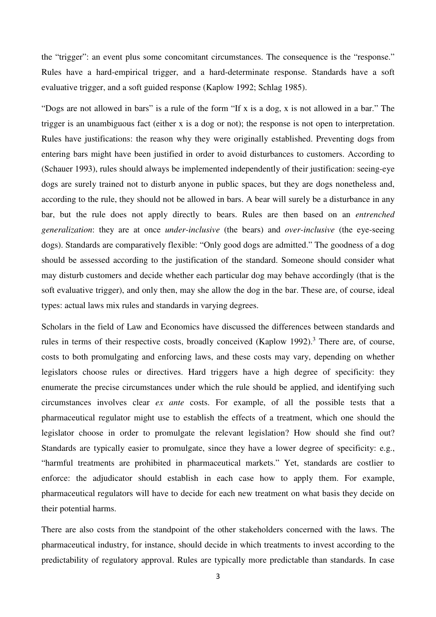the "trigger": an event plus some concomitant circumstances. The consequence is the "response." Rules have a hard-empirical trigger, and a hard-determinate response. Standards have a soft evaluative trigger, and a soft guided response (Kaplow 1992; Schlag 1985).

"Dogs are not allowed in bars" is a rule of the form "If x is a dog, x is not allowed in a bar." The trigger is an unambiguous fact (either x is a dog or not); the response is not open to interpretation. Rules have justifications: the reason why they were originally established. Preventing dogs from entering bars might have been justified in order to avoid disturbances to customers. According to (Schauer 1993), rules should always be implemented independently of their justification: seeing-eye dogs are surely trained not to disturb anyone in public spaces, but they are dogs nonetheless and, according to the rule, they should not be allowed in bars. A bear will surely be a disturbance in any bar, but the rule does not apply directly to bears. Rules are then based on an *entrenched generalization*: they are at once *under-inclusive* (the bears) and *over-inclusive* (the eye-seeing dogs). Standards are comparatively flexible: "Only good dogs are admitted." The goodness of a dog should be assessed according to the justification of the standard. Someone should consider what may disturb customers and decide whether each particular dog may behave accordingly (that is the soft evaluative trigger), and only then, may she allow the dog in the bar. These are, of course, ideal types: actual laws mix rules and standards in varying degrees.

Scholars in the field of Law and Economics have discussed the differences between standards and rules in terms of their respective costs, broadly conceived (Kaplow 1992).<sup>3</sup> There are, of course, costs to both promulgating and enforcing laws, and these costs may vary, depending on whether legislators choose rules or directives. Hard triggers have a high degree of specificity: they enumerate the precise circumstances under which the rule should be applied, and identifying such circumstances involves clear *ex ante* costs. For example, of all the possible tests that a pharmaceutical regulator might use to establish the effects of a treatment, which one should the legislator choose in order to promulgate the relevant legislation? How should she find out? Standards are typically easier to promulgate, since they have a lower degree of specificity: e.g., "harmful treatments are prohibited in pharmaceutical markets." Yet, standards are costlier to enforce: the adjudicator should establish in each case how to apply them. For example, pharmaceutical regulators will have to decide for each new treatment on what basis they decide on their potential harms.

There are also costs from the standpoint of the other stakeholders concerned with the laws. The pharmaceutical industry, for instance, should decide in which treatments to invest according to the predictability of regulatory approval. Rules are typically more predictable than standards. In case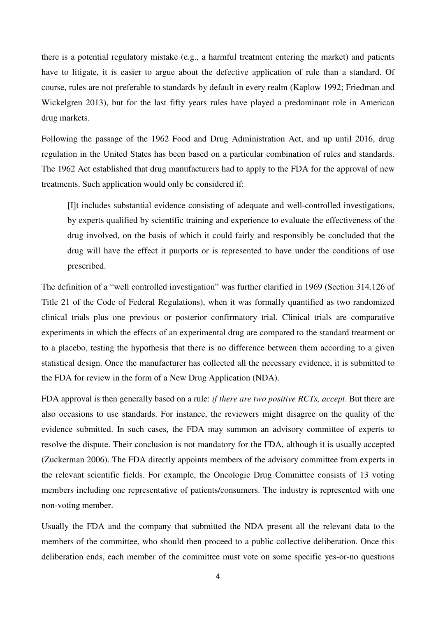there is a potential regulatory mistake (e.g., a harmful treatment entering the market) and patients have to litigate, it is easier to argue about the defective application of rule than a standard. Of course, rules are not preferable to standards by default in every realm (Kaplow 1992; Friedman and Wickelgren 2013), but for the last fifty years rules have played a predominant role in American drug markets.

Following the passage of the 1962 Food and Drug Administration Act, and up until 2016, drug regulation in the United States has been based on a particular combination of rules and standards. The 1962 Act established that drug manufacturers had to apply to the FDA for the approval of new treatments. Such application would only be considered if:

[I]t includes substantial evidence consisting of adequate and well-controlled investigations, by experts qualified by scientific training and experience to evaluate the effectiveness of the drug involved, on the basis of which it could fairly and responsibly be concluded that the drug will have the effect it purports or is represented to have under the conditions of use prescribed.

The definition of a "well controlled investigation" was further clarified in 1969 (Section 314.126 of Title 21 of the Code of Federal Regulations), when it was formally quantified as two randomized clinical trials plus one previous or posterior confirmatory trial. Clinical trials are comparative experiments in which the effects of an experimental drug are compared to the standard treatment or to a placebo, testing the hypothesis that there is no difference between them according to a given statistical design. Once the manufacturer has collected all the necessary evidence, it is submitted to the FDA for review in the form of a New Drug Application (NDA).

FDA approval is then generally based on a rule: *if there are two positive RCTs, accept*. But there are also occasions to use standards. For instance, the reviewers might disagree on the quality of the evidence submitted. In such cases, the FDA may summon an advisory committee of experts to resolve the dispute. Their conclusion is not mandatory for the FDA, although it is usually accepted (Zuckerman 2006). The FDA directly appoints members of the advisory committee from experts in the relevant scientific fields. For example, the Oncologic Drug Committee consists of 13 voting members including one representative of patients/consumers. The industry is represented with one non-voting member.

Usually the FDA and the company that submitted the NDA present all the relevant data to the members of the committee, who should then proceed to a public collective deliberation. Once this deliberation ends, each member of the committee must vote on some specific yes-or-no questions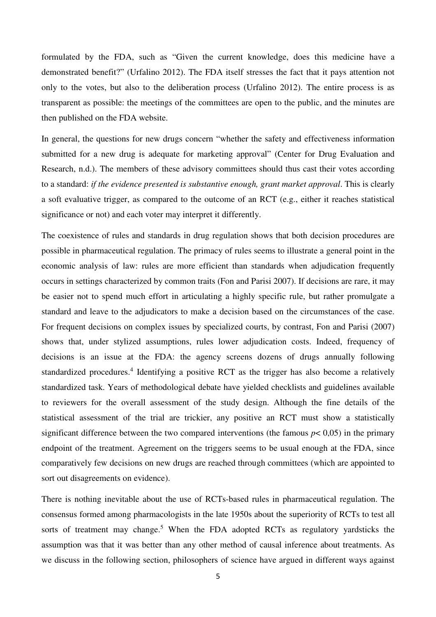formulated by the FDA, such as "Given the current knowledge, does this medicine have a demonstrated benefit?" (Urfalino 2012). The FDA itself stresses the fact that it pays attention not only to the votes, but also to the deliberation process (Urfalino 2012). The entire process is as transparent as possible: the meetings of the committees are open to the public, and the minutes are then published on the FDA website.

In general, the questions for new drugs concern "whether the safety and effectiveness information submitted for a new drug is adequate for marketing approval" (Center for Drug Evaluation and Research, n.d.). The members of these advisory committees should thus cast their votes according to a standard: *if the evidence presented is substantive enough, grant market approval*. This is clearly a soft evaluative trigger, as compared to the outcome of an RCT (e.g., either it reaches statistical significance or not) and each voter may interpret it differently.

The coexistence of rules and standards in drug regulation shows that both decision procedures are possible in pharmaceutical regulation. The primacy of rules seems to illustrate a general point in the economic analysis of law: rules are more efficient than standards when adjudication frequently occurs in settings characterized by common traits (Fon and Parisi 2007). If decisions are rare, it may be easier not to spend much effort in articulating a highly specific rule, but rather promulgate a standard and leave to the adjudicators to make a decision based on the circumstances of the case. For frequent decisions on complex issues by specialized courts, by contrast, Fon and Parisi (2007) shows that, under stylized assumptions, rules lower adjudication costs. Indeed, frequency of decisions is an issue at the FDA: the agency screens dozens of drugs annually following standardized procedures.<sup>4</sup> Identifying a positive RCT as the trigger has also become a relatively standardized task. Years of methodological debate have yielded checklists and guidelines available to reviewers for the overall assessment of the study design. Although the fine details of the statistical assessment of the trial are trickier, any positive an RCT must show a statistically significant difference between the two compared interventions (the famous  $p < 0.05$ ) in the primary endpoint of the treatment. Agreement on the triggers seems to be usual enough at the FDA, since comparatively few decisions on new drugs are reached through committees (which are appointed to sort out disagreements on evidence).

There is nothing inevitable about the use of RCTs-based rules in pharmaceutical regulation. The consensus formed among pharmacologists in the late 1950s about the superiority of RCTs to test all sorts of treatment may change.<sup>5</sup> When the FDA adopted RCTs as regulatory yardsticks the assumption was that it was better than any other method of causal inference about treatments. As we discuss in the following section, philosophers of science have argued in different ways against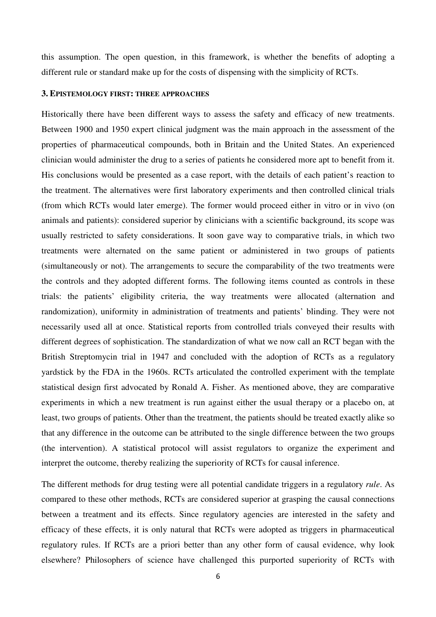this assumption. The open question, in this framework, is whether the benefits of adopting a different rule or standard make up for the costs of dispensing with the simplicity of RCTs.

## **3. EPISTEMOLOGY FIRST: THREE APPROACHES**

Historically there have been different ways to assess the safety and efficacy of new treatments. Between 1900 and 1950 expert clinical judgment was the main approach in the assessment of the properties of pharmaceutical compounds, both in Britain and the United States. An experienced clinician would administer the drug to a series of patients he considered more apt to benefit from it. His conclusions would be presented as a case report, with the details of each patient's reaction to the treatment. The alternatives were first laboratory experiments and then controlled clinical trials (from which RCTs would later emerge). The former would proceed either in vitro or in vivo (on animals and patients): considered superior by clinicians with a scientific background, its scope was usually restricted to safety considerations. It soon gave way to comparative trials, in which two treatments were alternated on the same patient or administered in two groups of patients (simultaneously or not). The arrangements to secure the comparability of the two treatments were the controls and they adopted different forms. The following items counted as controls in these trials: the patients' eligibility criteria, the way treatments were allocated (alternation and randomization), uniformity in administration of treatments and patients' blinding. They were not necessarily used all at once. Statistical reports from controlled trials conveyed their results with different degrees of sophistication. The standardization of what we now call an RCT began with the British Streptomycin trial in 1947 and concluded with the adoption of RCTs as a regulatory yardstick by the FDA in the 1960s. RCTs articulated the controlled experiment with the template statistical design first advocated by Ronald A. Fisher. As mentioned above, they are comparative experiments in which a new treatment is run against either the usual therapy or a placebo on, at least, two groups of patients. Other than the treatment, the patients should be treated exactly alike so that any difference in the outcome can be attributed to the single difference between the two groups (the intervention). A statistical protocol will assist regulators to organize the experiment and interpret the outcome, thereby realizing the superiority of RCTs for causal inference.

The different methods for drug testing were all potential candidate triggers in a regulatory *rule*. As compared to these other methods, RCTs are considered superior at grasping the causal connections between a treatment and its effects. Since regulatory agencies are interested in the safety and efficacy of these effects, it is only natural that RCTs were adopted as triggers in pharmaceutical regulatory rules. If RCTs are a priori better than any other form of causal evidence, why look elsewhere? Philosophers of science have challenged this purported superiority of RCTs with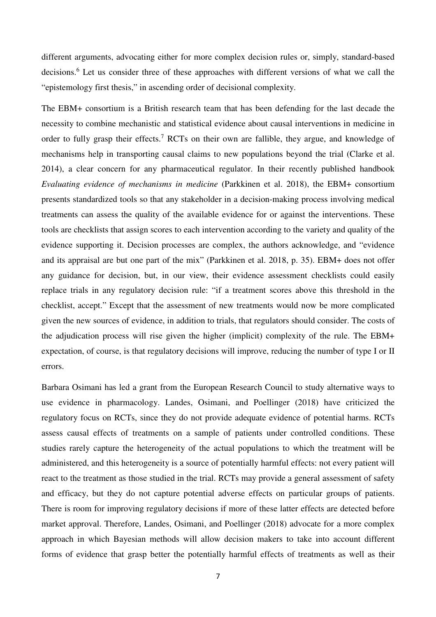different arguments, advocating either for more complex decision rules or, simply, standard-based decisions.<sup>6</sup> Let us consider three of these approaches with different versions of what we call the "epistemology first thesis," in ascending order of decisional complexity.

The EBM+ consortium is a British research team that has been defending for the last decade the necessity to combine mechanistic and statistical evidence about causal interventions in medicine in order to fully grasp their effects.<sup>7</sup> RCTs on their own are fallible, they argue, and knowledge of mechanisms help in transporting causal claims to new populations beyond the trial (Clarke et al. 2014), a clear concern for any pharmaceutical regulator. In their recently published handbook *Evaluating evidence of mechanisms in medicine* (Parkkinen et al. 2018), the EBM+ consortium presents standardized tools so that any stakeholder in a decision-making process involving medical treatments can assess the quality of the available evidence for or against the interventions. These tools are checklists that assign scores to each intervention according to the variety and quality of the evidence supporting it. Decision processes are complex, the authors acknowledge, and "evidence and its appraisal are but one part of the mix" (Parkkinen et al. 2018, p. 35). EBM+ does not offer any guidance for decision, but, in our view, their evidence assessment checklists could easily replace trials in any regulatory decision rule: "if a treatment scores above this threshold in the checklist, accept." Except that the assessment of new treatments would now be more complicated given the new sources of evidence, in addition to trials, that regulators should consider. The costs of the adjudication process will rise given the higher (implicit) complexity of the rule. The EBM+ expectation, of course, is that regulatory decisions will improve, reducing the number of type I or II errors.

Barbara Osimani has led a grant from the European Research Council to study alternative ways to use evidence in pharmacology. Landes, Osimani, and Poellinger (2018) have criticized the regulatory focus on RCTs, since they do not provide adequate evidence of potential harms. RCTs assess causal effects of treatments on a sample of patients under controlled conditions. These studies rarely capture the heterogeneity of the actual populations to which the treatment will be administered, and this heterogeneity is a source of potentially harmful effects: not every patient will react to the treatment as those studied in the trial. RCTs may provide a general assessment of safety and efficacy, but they do not capture potential adverse effects on particular groups of patients. There is room for improving regulatory decisions if more of these latter effects are detected before market approval. Therefore, Landes, Osimani, and Poellinger (2018) advocate for a more complex approach in which Bayesian methods will allow decision makers to take into account different forms of evidence that grasp better the potentially harmful effects of treatments as well as their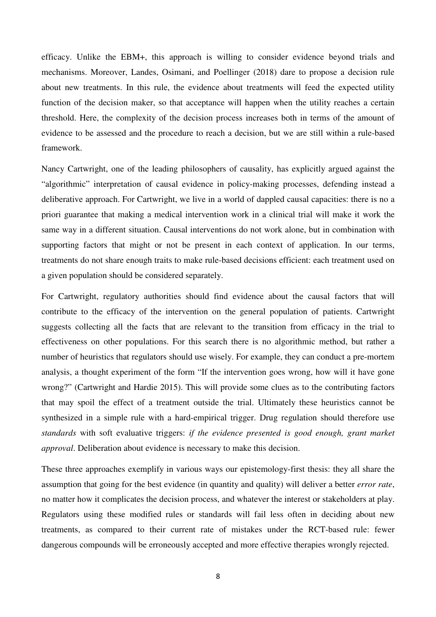efficacy. Unlike the EBM+, this approach is willing to consider evidence beyond trials and mechanisms. Moreover, Landes, Osimani, and Poellinger (2018) dare to propose a decision rule about new treatments. In this rule, the evidence about treatments will feed the expected utility function of the decision maker, so that acceptance will happen when the utility reaches a certain threshold. Here, the complexity of the decision process increases both in terms of the amount of evidence to be assessed and the procedure to reach a decision, but we are still within a rule-based framework.

Nancy Cartwright, one of the leading philosophers of causality, has explicitly argued against the "algorithmic" interpretation of causal evidence in policy-making processes, defending instead a deliberative approach. For Cartwright, we live in a world of dappled causal capacities: there is no a priori guarantee that making a medical intervention work in a clinical trial will make it work the same way in a different situation. Causal interventions do not work alone, but in combination with supporting factors that might or not be present in each context of application. In our terms, treatments do not share enough traits to make rule-based decisions efficient: each treatment used on a given population should be considered separately.

For Cartwright, regulatory authorities should find evidence about the causal factors that will contribute to the efficacy of the intervention on the general population of patients. Cartwright suggests collecting all the facts that are relevant to the transition from efficacy in the trial to effectiveness on other populations. For this search there is no algorithmic method, but rather a number of heuristics that regulators should use wisely. For example, they can conduct a pre-mortem analysis, a thought experiment of the form "If the intervention goes wrong, how will it have gone wrong?" (Cartwright and Hardie 2015). This will provide some clues as to the contributing factors that may spoil the effect of a treatment outside the trial. Ultimately these heuristics cannot be synthesized in a simple rule with a hard-empirical trigger. Drug regulation should therefore use *standards* with soft evaluative triggers: *if the evidence presented is good enough, grant market approval*. Deliberation about evidence is necessary to make this decision.

These three approaches exemplify in various ways our epistemology-first thesis: they all share the assumption that going for the best evidence (in quantity and quality) will deliver a better *error rate*, no matter how it complicates the decision process, and whatever the interest or stakeholders at play. Regulators using these modified rules or standards will fail less often in deciding about new treatments, as compared to their current rate of mistakes under the RCT-based rule: fewer dangerous compounds will be erroneously accepted and more effective therapies wrongly rejected.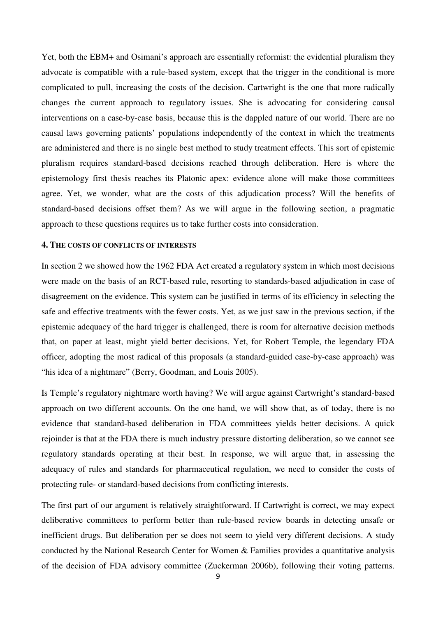Yet, both the EBM+ and Osimani's approach are essentially reformist: the evidential pluralism they advocate is compatible with a rule-based system, except that the trigger in the conditional is more complicated to pull, increasing the costs of the decision. Cartwright is the one that more radically changes the current approach to regulatory issues. She is advocating for considering causal interventions on a case-by-case basis, because this is the dappled nature of our world. There are no causal laws governing patients' populations independently of the context in which the treatments are administered and there is no single best method to study treatment effects. This sort of epistemic pluralism requires standard-based decisions reached through deliberation. Here is where the epistemology first thesis reaches its Platonic apex: evidence alone will make those committees agree. Yet, we wonder, what are the costs of this adjudication process? Will the benefits of standard-based decisions offset them? As we will argue in the following section, a pragmatic approach to these questions requires us to take further costs into consideration.

#### **4. THE COSTS OF CONFLICTS OF INTERESTS**

In section 2 we showed how the 1962 FDA Act created a regulatory system in which most decisions were made on the basis of an RCT-based rule, resorting to standards-based adjudication in case of disagreement on the evidence. This system can be justified in terms of its efficiency in selecting the safe and effective treatments with the fewer costs. Yet, as we just saw in the previous section, if the epistemic adequacy of the hard trigger is challenged, there is room for alternative decision methods that, on paper at least, might yield better decisions. Yet, for Robert Temple, the legendary FDA officer, adopting the most radical of this proposals (a standard-guided case-by-case approach) was "his idea of a nightmare" (Berry, Goodman, and Louis 2005).

Is Temple's regulatory nightmare worth having? We will argue against Cartwright's standard-based approach on two different accounts. On the one hand, we will show that, as of today, there is no evidence that standard-based deliberation in FDA committees yields better decisions. A quick rejoinder is that at the FDA there is much industry pressure distorting deliberation, so we cannot see regulatory standards operating at their best. In response, we will argue that, in assessing the adequacy of rules and standards for pharmaceutical regulation, we need to consider the costs of protecting rule- or standard-based decisions from conflicting interests.

The first part of our argument is relatively straightforward. If Cartwright is correct, we may expect deliberative committees to perform better than rule-based review boards in detecting unsafe or inefficient drugs. But deliberation per se does not seem to yield very different decisions. A study conducted by the National Research Center for Women & Families provides a quantitative analysis of the decision of FDA advisory committee (Zuckerman 2006b), following their voting patterns.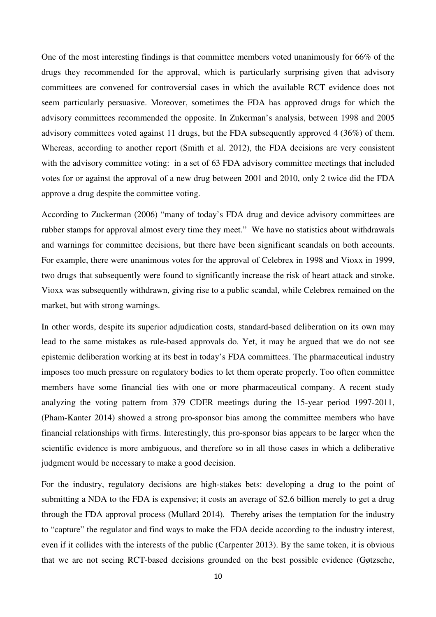One of the most interesting findings is that committee members voted unanimously for 66% of the drugs they recommended for the approval, which is particularly surprising given that advisory committees are convened for controversial cases in which the available RCT evidence does not seem particularly persuasive. Moreover, sometimes the FDA has approved drugs for which the advisory committees recommended the opposite. In Zukerman's analysis, between 1998 and 2005 advisory committees voted against 11 drugs, but the FDA subsequently approved 4 (36%) of them. Whereas, according to another report (Smith et al. 2012), the FDA decisions are very consistent with the advisory committee voting: in a set of 63 FDA advisory committee meetings that included votes for or against the approval of a new drug between 2001 and 2010, only 2 twice did the FDA approve a drug despite the committee voting.

According to Zuckerman (2006) "many of today's FDA drug and device advisory committees are rubber stamps for approval almost every time they meet." We have no statistics about withdrawals and warnings for committee decisions, but there have been significant scandals on both accounts. For example, there were unanimous votes for the approval of Celebrex in 1998 and Vioxx in 1999, two drugs that subsequently were found to significantly increase the risk of heart attack and stroke. Vioxx was subsequently withdrawn, giving rise to a public scandal, while Celebrex remained on the market, but with strong warnings.

In other words, despite its superior adjudication costs, standard-based deliberation on its own may lead to the same mistakes as rule-based approvals do. Yet, it may be argued that we do not see epistemic deliberation working at its best in today's FDA committees. The pharmaceutical industry imposes too much pressure on regulatory bodies to let them operate properly. Too often committee members have some financial ties with one or more pharmaceutical company. A recent study analyzing the voting pattern from 379 CDER meetings during the 15-year period 1997-2011, (Pham-Kanter 2014) showed a strong pro-sponsor bias among the committee members who have financial relationships with firms. Interestingly, this pro-sponsor bias appears to be larger when the scientific evidence is more ambiguous, and therefore so in all those cases in which a deliberative judgment would be necessary to make a good decision.

For the industry, regulatory decisions are high-stakes bets: developing a drug to the point of submitting a NDA to the FDA is expensive; it costs an average of \$2.6 billion merely to get a drug through the FDA approval process (Mullard 2014). Thereby arises the temptation for the industry to "capture" the regulator and find ways to make the FDA decide according to the industry interest, even if it collides with the interests of the public (Carpenter 2013). By the same token, it is obvious that we are not seeing RCT-based decisions grounded on the best possible evidence (Gøtzsche,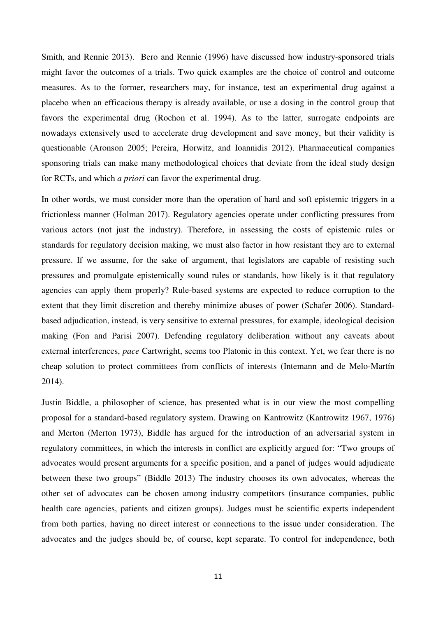Smith, and Rennie 2013). Bero and Rennie (1996) have discussed how industry-sponsored trials might favor the outcomes of a trials. Two quick examples are the choice of control and outcome measures. As to the former, researchers may, for instance, test an experimental drug against a placebo when an efficacious therapy is already available, or use a dosing in the control group that favors the experimental drug (Rochon et al. 1994). As to the latter, surrogate endpoints are nowadays extensively used to accelerate drug development and save money, but their validity is questionable (Aronson 2005; Pereira, Horwitz, and Ioannidis 2012). Pharmaceutical companies sponsoring trials can make many methodological choices that deviate from the ideal study design for RCTs, and which *a priori* can favor the experimental drug.

In other words, we must consider more than the operation of hard and soft epistemic triggers in a frictionless manner (Holman 2017). Regulatory agencies operate under conflicting pressures from various actors (not just the industry). Therefore, in assessing the costs of epistemic rules or standards for regulatory decision making, we must also factor in how resistant they are to external pressure. If we assume, for the sake of argument, that legislators are capable of resisting such pressures and promulgate epistemically sound rules or standards, how likely is it that regulatory agencies can apply them properly? Rule-based systems are expected to reduce corruption to the extent that they limit discretion and thereby minimize abuses of power (Schafer 2006). Standardbased adjudication, instead, is very sensitive to external pressures, for example, ideological decision making (Fon and Parisi 2007). Defending regulatory deliberation without any caveats about external interferences, *pace* Cartwright, seems too Platonic in this context. Yet, we fear there is no cheap solution to protect committees from conflicts of interests (Intemann and de Melo-Martín 2014).

Justin Biddle, a philosopher of science, has presented what is in our view the most compelling proposal for a standard-based regulatory system. Drawing on Kantrowitz (Kantrowitz 1967, 1976) and Merton (Merton 1973), Biddle has argued for the introduction of an adversarial system in regulatory committees, in which the interests in conflict are explicitly argued for: "Two groups of advocates would present arguments for a specific position, and a panel of judges would adjudicate between these two groups" (Biddle 2013) The industry chooses its own advocates, whereas the other set of advocates can be chosen among industry competitors (insurance companies, public health care agencies, patients and citizen groups). Judges must be scientific experts independent from both parties, having no direct interest or connections to the issue under consideration. The advocates and the judges should be, of course, kept separate. To control for independence, both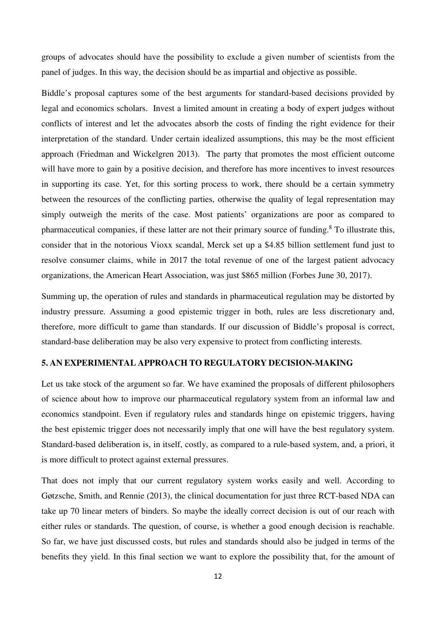groups of advocates should have the possibility to exclude a given number of scientists from the panel of judges. In this way, the decision should be as impartial and objective as possible.

Biddle's proposal captures some of the best arguments for standard-based decisions provided by legal and economics scholars. Invest a limited amount in creating a body of expert judges without conflicts of interest and let the advocates absorb the costs of finding the right evidence for their interpretation of the standard. Under certain idealized assumptions, this may be the most efficient approach (Friedman and Wickelgren 2013). The party that promotes the most efficient outcome will have more to gain by a positive decision, and therefore has more incentives to invest resources in supporting its case. Yet, for this sorting process to work, there should be a certain symmetry between the resources of the conflicting parties, otherwise the quality of legal representation may simply outweigh the merits of the case. Most patients' organizations are poor as compared to pharmaceutical companies, if these latter are not their primary source of funding.<sup>8</sup> To illustrate this, consider that in the notorious Vioxx scandal, Merck set up a \$4.85 billion settlement fund just to resolve consumer claims, while in 2017 the total revenue of one of the largest patient advocacy organizations, the American Heart Association, was just \$865 million (Forbes June 30, 2017).

Summing up, the operation of rules and standards in pharmaceutical regulation may be distorted by industry pressure. Assuming a good epistemic trigger in both, rules are less discretionary and, therefore, more difficult to game than standards. If our discussion of Biddle's proposal is correct, standard-base deliberation may be also very expensive to protect from conflicting interests.

## **5. AN EXPERIMENTAL APPROACH TO REGULATORY DECISION-MAKING**

Let us take stock of the argument so far. We have examined the proposals of different philosophers of science about how to improve our pharmaceutical regulatory system from an informal law and economics standpoint. Even if regulatory rules and standards hinge on epistemic triggers, having the best epistemic trigger does not necessarily imply that one will have the best regulatory system. Standard-based deliberation is, in itself, costly, as compared to a rule-based system, and, a priori, it is more difficult to protect against external pressures.

That does not imply that our current regulatory system works easily and well. According to Gøtzsche, Smith, and Rennie (2013), the clinical documentation for just three RCT-based NDA can take up 70 linear meters of binders. So maybe the ideally correct decision is out of our reach with either rules or standards. The question, of course, is whether a good enough decision is reachable. So far, we have just discussed costs, but rules and standards should also be judged in terms of the benefits they yield. In this final section we want to explore the possibility that, for the amount of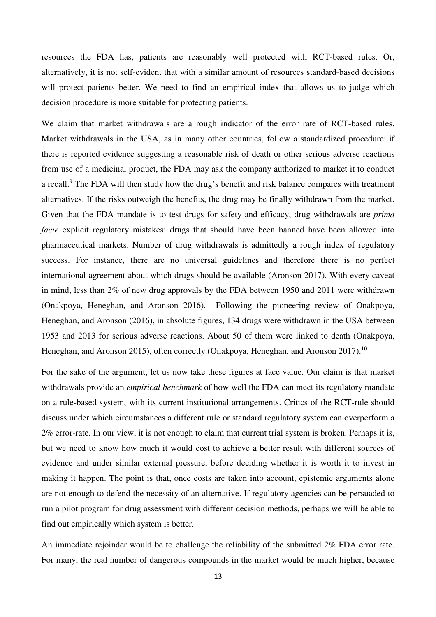resources the FDA has, patients are reasonably well protected with RCT-based rules. Or, alternatively, it is not self-evident that with a similar amount of resources standard-based decisions will protect patients better. We need to find an empirical index that allows us to judge which decision procedure is more suitable for protecting patients.

We claim that market withdrawals are a rough indicator of the error rate of RCT-based rules. Market withdrawals in the USA, as in many other countries, follow a standardized procedure: if there is reported evidence suggesting a reasonable risk of death or other serious adverse reactions from use of a medicinal product, the FDA may ask the company authorized to market it to conduct a recall.<sup>9</sup> The FDA will then study how the drug's benefit and risk balance compares with treatment alternatives. If the risks outweigh the benefits, the drug may be finally withdrawn from the market. Given that the FDA mandate is to test drugs for safety and efficacy, drug withdrawals are *prima facie* explicit regulatory mistakes: drugs that should have been banned have been allowed into pharmaceutical markets. Number of drug withdrawals is admittedly a rough index of regulatory success. For instance, there are no universal guidelines and therefore there is no perfect international agreement about which drugs should be available (Aronson 2017). With every caveat in mind, less than 2% of new drug approvals by the FDA between 1950 and 2011 were withdrawn (Onakpoya, Heneghan, and Aronson 2016). Following the pioneering review of Onakpoya, Heneghan, and Aronson (2016), in absolute figures, 134 drugs were withdrawn in the USA between 1953 and 2013 for serious adverse reactions. About 50 of them were linked to death (Onakpoya, Heneghan, and Aronson 2015), often correctly (Onakpoya, Heneghan, and Aronson 2017).<sup>10</sup>

For the sake of the argument, let us now take these figures at face value. Our claim is that market withdrawals provide an *empirical benchmark* of how well the FDA can meet its regulatory mandate on a rule-based system, with its current institutional arrangements. Critics of the RCT-rule should discuss under which circumstances a different rule or standard regulatory system can overperform a 2% error-rate. In our view, it is not enough to claim that current trial system is broken. Perhaps it is, but we need to know how much it would cost to achieve a better result with different sources of evidence and under similar external pressure, before deciding whether it is worth it to invest in making it happen. The point is that, once costs are taken into account, epistemic arguments alone are not enough to defend the necessity of an alternative. If regulatory agencies can be persuaded to run a pilot program for drug assessment with different decision methods, perhaps we will be able to find out empirically which system is better.

An immediate rejoinder would be to challenge the reliability of the submitted 2% FDA error rate. For many, the real number of dangerous compounds in the market would be much higher, because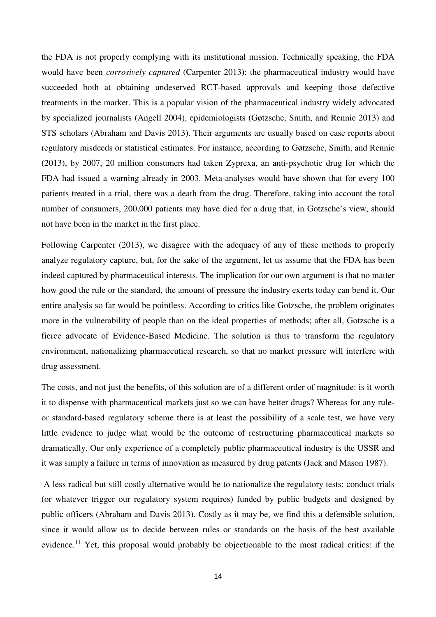the FDA is not properly complying with its institutional mission. Technically speaking, the FDA would have been *corrosively captured* (Carpenter 2013): the pharmaceutical industry would have succeeded both at obtaining undeserved RCT-based approvals and keeping those defective treatments in the market. This is a popular vision of the pharmaceutical industry widely advocated by specialized journalists (Angell 2004), epidemiologists (Gøtzsche, Smith, and Rennie 2013) and STS scholars (Abraham and Davis 2013). Their arguments are usually based on case reports about regulatory misdeeds or statistical estimates. For instance, according to Gøtzsche, Smith, and Rennie (2013), by 2007, 20 million consumers had taken Zyprexa, an anti-psychotic drug for which the FDA had issued a warning already in 2003. Meta-analyses would have shown that for every 100 patients treated in a trial, there was a death from the drug. Therefore, taking into account the total number of consumers, 200,000 patients may have died for a drug that, in Gotzsche's view, should not have been in the market in the first place.

Following Carpenter (2013), we disagree with the adequacy of any of these methods to properly analyze regulatory capture, but, for the sake of the argument, let us assume that the FDA has been indeed captured by pharmaceutical interests. The implication for our own argument is that no matter how good the rule or the standard, the amount of pressure the industry exerts today can bend it. Our entire analysis so far would be pointless. According to critics like Gotzsche, the problem originates more in the vulnerability of people than on the ideal properties of methods; after all, Gotzsche is a fierce advocate of Evidence-Based Medicine. The solution is thus to transform the regulatory environment, nationalizing pharmaceutical research, so that no market pressure will interfere with drug assessment.

The costs, and not just the benefits, of this solution are of a different order of magnitude: is it worth it to dispense with pharmaceutical markets just so we can have better drugs? Whereas for any ruleor standard-based regulatory scheme there is at least the possibility of a scale test, we have very little evidence to judge what would be the outcome of restructuring pharmaceutical markets so dramatically. Our only experience of a completely public pharmaceutical industry is the USSR and it was simply a failure in terms of innovation as measured by drug patents (Jack and Mason 1987).

 A less radical but still costly alternative would be to nationalize the regulatory tests: conduct trials (or whatever trigger our regulatory system requires) funded by public budgets and designed by public officers (Abraham and Davis 2013). Costly as it may be, we find this a defensible solution, since it would allow us to decide between rules or standards on the basis of the best available evidence.<sup>11</sup> Yet, this proposal would probably be objectionable to the most radical critics: if the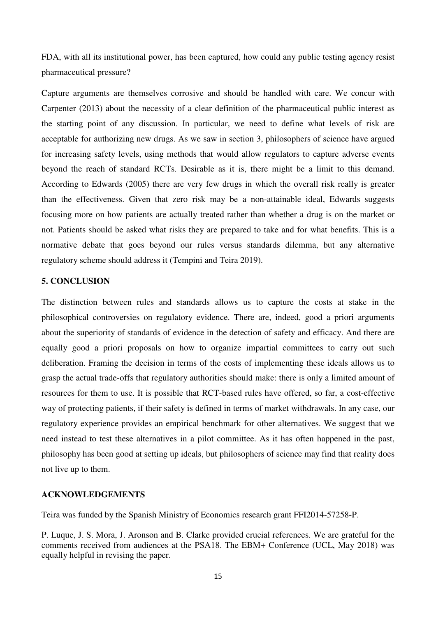FDA, with all its institutional power, has been captured, how could any public testing agency resist pharmaceutical pressure?

Capture arguments are themselves corrosive and should be handled with care. We concur with Carpenter (2013) about the necessity of a clear definition of the pharmaceutical public interest as the starting point of any discussion. In particular, we need to define what levels of risk are acceptable for authorizing new drugs. As we saw in section 3, philosophers of science have argued for increasing safety levels, using methods that would allow regulators to capture adverse events beyond the reach of standard RCTs. Desirable as it is, there might be a limit to this demand. According to Edwards (2005) there are very few drugs in which the overall risk really is greater than the effectiveness. Given that zero risk may be a non-attainable ideal, Edwards suggests focusing more on how patients are actually treated rather than whether a drug is on the market or not. Patients should be asked what risks they are prepared to take and for what benefits. This is a normative debate that goes beyond our rules versus standards dilemma, but any alternative regulatory scheme should address it (Tempini and Teira 2019).

## **5. CONCLUSION**

The distinction between rules and standards allows us to capture the costs at stake in the philosophical controversies on regulatory evidence. There are, indeed, good a priori arguments about the superiority of standards of evidence in the detection of safety and efficacy. And there are equally good a priori proposals on how to organize impartial committees to carry out such deliberation. Framing the decision in terms of the costs of implementing these ideals allows us to grasp the actual trade-offs that regulatory authorities should make: there is only a limited amount of resources for them to use. It is possible that RCT-based rules have offered, so far, a cost-effective way of protecting patients, if their safety is defined in terms of market withdrawals. In any case, our regulatory experience provides an empirical benchmark for other alternatives. We suggest that we need instead to test these alternatives in a pilot committee. As it has often happened in the past, philosophy has been good at setting up ideals, but philosophers of science may find that reality does not live up to them.

## **ACKNOWLEDGEMENTS**

Teira was funded by the Spanish Ministry of Economics research grant FFI2014-57258-P.

P. Luque, J. S. Mora, J. Aronson and B. Clarke provided crucial references. We are grateful for the comments received from audiences at the PSA18. The EBM+ Conference (UCL, May 2018) was equally helpful in revising the paper.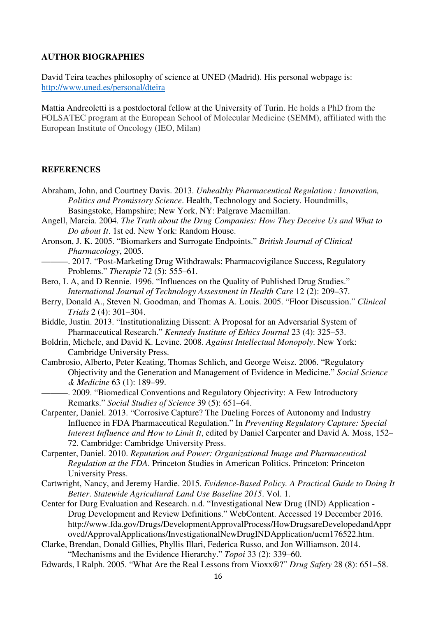## **AUTHOR BIOGRAPHIES**

David Teira teaches philosophy of science at UNED (Madrid). His personal webpage is: http://www.uned.es/personal/dteira

Mattia Andreoletti is a postdoctoral fellow at the University of Turin. He holds a PhD from the FOLSATEC program at the European School of Molecular Medicine (SEMM), affiliated with the European Institute of Oncology (IEO, Milan)

## **REFERENCES**

- Abraham, John, and Courtney Davis. 2013. *Unhealthy Pharmaceutical Regulation : Innovation, Politics and Promissory Science*. Health, Technology and Society. Houndmills, Basingstoke, Hampshire; New York, NY: Palgrave Macmillan.
- Angell, Marcia. 2004. *The Truth about the Drug Companies: How They Deceive Us and What to Do about It*. 1st ed. New York: Random House.
- Aronson, J. K. 2005. "Biomarkers and Surrogate Endpoints." *British Journal of Clinical Pharmacology*, 2005.
	- -. 2017. "Post-Marketing Drug Withdrawals: Pharmacovigilance Success, Regulatory Problems." *Therapie* 72 (5): 555–61.
- Bero, L A, and D Rennie. 1996. "Influences on the Quality of Published Drug Studies." *International Journal of Technology Assessment in Health Care* 12 (2): 209–37.
- Berry, Donald A., Steven N. Goodman, and Thomas A. Louis. 2005. "Floor Discussion." *Clinical Trials* 2 (4): 301–304.
- Biddle, Justin. 2013. "Institutionalizing Dissent: A Proposal for an Adversarial System of Pharmaceutical Research." *Kennedy Institute of Ethics Journal* 23 (4): 325–53.
- Boldrin, Michele, and David K. Levine. 2008. *Against Intellectual Monopoly*. New York: Cambridge University Press.
- Cambrosio, Alberto, Peter Keating, Thomas Schlich, and George Weisz. 2006. "Regulatory Objectivity and the Generation and Management of Evidence in Medicine." *Social Science & Medicine* 63 (1): 189–99.
- -. 2009. "Biomedical Conventions and Regulatory Objectivity: A Few Introductory Remarks." *Social Studies of Science* 39 (5): 651–64.
- Carpenter, Daniel. 2013. "Corrosive Capture? The Dueling Forces of Autonomy and Industry Influence in FDA Pharmaceutical Regulation." In *Preventing Regulatory Capture: Special Interest Influence and How to Limit It*, edited by Daniel Carpenter and David A. Moss, 152– 72. Cambridge: Cambridge University Press.
- Carpenter, Daniel. 2010. *Reputation and Power: Organizational Image and Pharmaceutical Regulation at the FDA*. Princeton Studies in American Politics. Princeton: Princeton University Press.
- Cartwright, Nancy, and Jeremy Hardie. 2015. *Evidence-Based Policy. A Practical Guide to Doing It Better*. *Statewide Agricultural Land Use Baseline 2015*. Vol. 1.
- Center for Durg Evaluation and Research. n.d. "Investigational New Drug (IND) Application Drug Development and Review Definitions." WebContent. Accessed 19 December 2016. http://www.fda.gov/Drugs/DevelopmentApprovalProcess/HowDrugsareDevelopedandAppr oved/ApprovalApplications/InvestigationalNewDrugINDApplication/ucm176522.htm.
- Clarke, Brendan, Donald Gillies, Phyllis Illari, Federica Russo, and Jon Williamson. 2014. "Mechanisms and the Evidence Hierarchy." *Topoi* 33 (2): 339–60.
- Edwards, I Ralph. 2005. "What Are the Real Lessons from Vioxx®?" *Drug Safety* 28 (8): 651–58.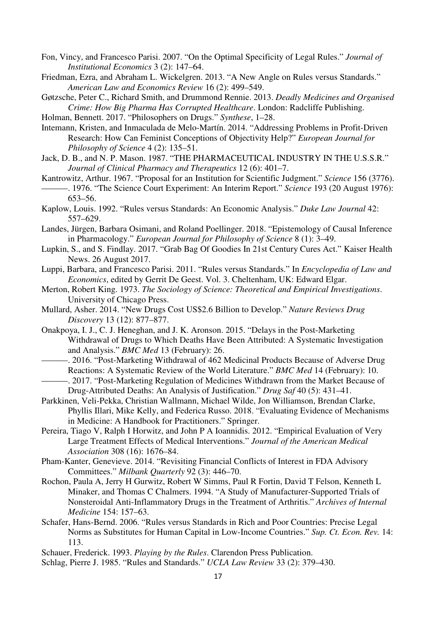- Fon, Vincy, and Francesco Parisi. 2007. "On the Optimal Specificity of Legal Rules." *Journal of Institutional Economics* 3 (2): 147–64.
- Friedman, Ezra, and Abraham L. Wickelgren. 2013. "A New Angle on Rules versus Standards." *American Law and Economics Review* 16 (2): 499–549.
- Gøtzsche, Peter C., Richard Smith, and Drummond Rennie. 2013. *Deadly Medicines and Organised Crime: How Big Pharma Has Corrupted Healthcare*. London: Radcliffe Publishing.
- Holman, Bennett. 2017. "Philosophers on Drugs." *Synthese*, 1–28.
- Intemann, Kristen, and Inmaculada de Melo-Martín. 2014. "Addressing Problems in Profit-Driven Research: How Can Feminist Conceptions of Objectivity Help?" *European Journal for Philosophy of Science* 4 (2): 135–51.
- Jack, D. B., and N. P. Mason. 1987. "THE PHARMACEUTICAL INDUSTRY IN THE U.S.S.R." *Journal of Clinical Pharmacy and Therapeutics* 12 (6): 401–7.
- Kantrowitz, Arthur. 1967. "Proposal for an Institution for Scientific Judgment." *Science* 156 (3776). ———. 1976. "The Science Court Experiment: An Interim Report." *Science* 193 (20 August 1976): 653–56.
- Kaplow, Louis. 1992. "Rules versus Standards: An Economic Analysis." *Duke Law Journal* 42: 557–629.
- Landes, Jürgen, Barbara Osimani, and Roland Poellinger. 2018. "Epistemology of Causal Inference in Pharmacology." *European Journal for Philosophy of Science* 8 (1): 3–49.
- Lupkin, S., and S. Findlay. 2017. "Grab Bag Of Goodies In 21st Century Cures Act." Kaiser Health News. 26 August 2017.
- Luppi, Barbara, and Francesco Parisi. 2011. "Rules versus Standards." In *Encyclopedia of Law and Economics*, edited by Gerrit De Geest. Vol. 3. Cheltenham, UK: Edward Elgar.
- Merton, Robert King. 1973. *The Sociology of Science: Theoretical and Empirical Investigations*. University of Chicago Press.
- Mullard, Asher. 2014. "New Drugs Cost US\$2.6 Billion to Develop." *Nature Reviews Drug Discovery* 13 (12): 877–877.
- Onakpoya, I. J., C. J. Heneghan, and J. K. Aronson. 2015. "Delays in the Post-Marketing Withdrawal of Drugs to Which Deaths Have Been Attributed: A Systematic Investigation and Analysis." *BMC Med* 13 (February): 26.
- -. 2016. "Post-Marketing Withdrawal of 462 Medicinal Products Because of Adverse Drug Reactions: A Systematic Review of the World Literature." *BMC Med* 14 (February): 10. ———. 2017. "Post-Marketing Regulation of Medicines Withdrawn from the Market Because of
	- Drug-Attributed Deaths: An Analysis of Justification." *Drug Saf* 40 (5): 431–41.
- Parkkinen, Veli-Pekka, Christian Wallmann, Michael Wilde, Jon Williamson, Brendan Clarke, Phyllis Illari, Mike Kelly, and Federica Russo. 2018. "Evaluating Evidence of Mechanisms in Medicine: A Handbook for Practitioners." Springer.
- Pereira, Tiago V, Ralph I Horwitz, and John P A Ioannidis. 2012. "Empirical Evaluation of Very Large Treatment Effects of Medical Interventions." *Journal of the American Medical Association* 308 (16): 1676–84.
- Pham-Kanter, Genevieve. 2014. "Revisiting Financial Conflicts of Interest in FDA Advisory Committees." *Milbank Quarterly* 92 (3): 446–70.
- Rochon, Paula A, Jerry H Gurwitz, Robert W Simms, Paul R Fortin, David T Felson, Kenneth L Minaker, and Thomas C Chalmers. 1994. "A Study of Manufacturer-Supported Trials of Nonsteroidal Anti-Inflammatory Drugs in the Treatment of Arthritis." *Archives of Internal Medicine* 154: 157–63.
- Schafer, Hans-Bernd. 2006. "Rules versus Standards in Rich and Poor Countries: Precise Legal Norms as Substitutes for Human Capital in Low-Income Countries." *Sup. Ct. Econ. Rev.* 14: 113.
- Schauer, Frederick. 1993. *Playing by the Rules*. Clarendon Press Publication.
- Schlag, Pierre J. 1985. "Rules and Standards." *UCLA Law Review* 33 (2): 379–430.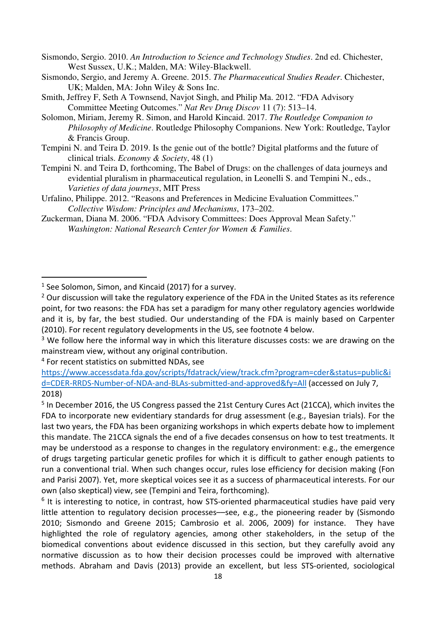Sismondo, Sergio. 2010. *An Introduction to Science and Technology Studies*. 2nd ed. Chichester, West Sussex, U.K.; Malden, MA: Wiley-Blackwell.

Sismondo, Sergio, and Jeremy A. Greene. 2015. *The Pharmaceutical Studies Reader*. Chichester, UK; Malden, MA: John Wiley & Sons Inc.

- Smith, Jeffrey F, Seth A Townsend, Navjot Singh, and Philip Ma. 2012. "FDA Advisory Committee Meeting Outcomes." *Nat Rev Drug Discov* 11 (7): 513–14.
- Solomon, Miriam, Jeremy R. Simon, and Harold Kincaid. 2017. *The Routledge Companion to Philosophy of Medicine*. Routledge Philosophy Companions. New York: Routledge, Taylor & Francis Group.
- Tempini N. and Teira D. 2019. Is the genie out of the bottle? Digital platforms and the future of clinical trials. *Economy & Society*, 48 (1)
- Tempini N. and Teira D, forthcoming, The Babel of Drugs: on the challenges of data journeys and evidential pluralism in pharmaceutical regulation, in Leonelli S. and Tempini N., eds., *Varieties of data journeys*, MIT Press
- Urfalino, Philippe. 2012. "Reasons and Preferences in Medicine Evaluation Committees." *Collective Wisdom: Principles and Mechanisms*, 173–202.
- Zuckerman, Diana M. 2006. "FDA Advisory Committees: Does Approval Mean Safety." *Washington: National Research Center for Women & Families*.

4 For recent statistics on submitted NDAs, see

l

<sup>&</sup>lt;sup>1</sup> See Solomon, Simon, and Kincaid (2017) for a survey.

<sup>&</sup>lt;sup>2</sup> Our discussion will take the regulatory experience of the FDA in the United States as its reference point, for two reasons: the FDA has set a paradigm for many other regulatory agencies worldwide and it is, by far, the best studied. Our understanding of the FDA is mainly based on Carpenter (2010). For recent regulatory developments in the US, see footnote 4 below.

<sup>&</sup>lt;sup>3</sup> We follow here the informal way in which this literature discusses costs: we are drawing on the mainstream view, without any original contribution.

https://www.accessdata.fda.gov/scripts/fdatrack/view/track.cfm?program=cder&status=public&i d=CDER-RRDS-Number-of-NDA-and-BLAs-submitted-and-approved&fy=All (accessed on July 7, 2018)

<sup>&</sup>lt;sup>5</sup> In December 2016, the US Congress passed the 21st Century Cures Act (21CCA), which invites the FDA to incorporate new evidentiary standards for drug assessment (e.g., Bayesian trials). For the last two years, the FDA has been organizing workshops in which experts debate how to implement this mandate. The 21CCA signals the end of a five decades consensus on how to test treatments. It may be understood as a response to changes in the regulatory environment: e.g., the emergence of drugs targeting particular genetic profiles for which it is difficult to gather enough patients to run a conventional trial. When such changes occur, rules lose efficiency for decision making (Fon and Parisi 2007). Yet, more skeptical voices see it as a success of pharmaceutical interests. For our own (also skeptical) view, see (Tempini and Teira, forthcoming).

 $6$  It is interesting to notice, in contrast, how STS-oriented pharmaceutical studies have paid very little attention to regulatory decision processes—see, e.g., the pioneering reader by (Sismondo 2010; Sismondo and Greene 2015; Cambrosio et al. 2006, 2009) for instance. They have highlighted the role of regulatory agencies, among other stakeholders, in the setup of the biomedical conventions about evidence discussed in this section, but they carefully avoid any normative discussion as to how their decision processes could be improved with alternative methods. Abraham and Davis (2013) provide an excellent, but less STS-oriented, sociological